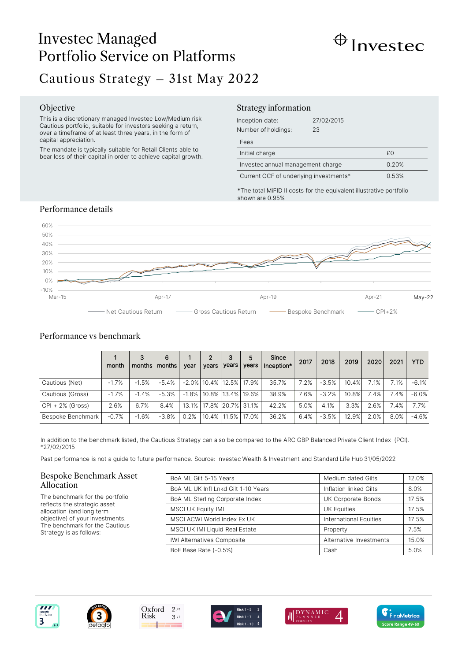# Investec Managed Portfolio Service on Platforms



# Cautious Strategy – 31st May 2022

### Objective

This is a discretionary managed Investec Low/Medium risk Cautious portfolio, suitable for investors seeking a return, over a timeframe of at least three years, in the form of capital appreciation.

The mandate is typically suitable for Retail Clients able to bear loss of their capital in order to achieve capital growth.

## Strategy information

| Inception date:<br>Number of holdings: | 27/02/2015<br>23 |    |
|----------------------------------------|------------------|----|
| Fees                                   |                  |    |
| Initial charge                         |                  | £Ο |
| Investec annual management charge      | 0.20%            |    |
| Current OCF of underlying investments* | 0.53%            |    |

\*The total MiFID II costs for the equivalent illustrative portfolio shown are 0.95%

# Performance details



# Performance vs benchmark

|                     | month   | 3<br>months   months | 6       | vear | $\mathbf{2}$<br>vears            | 3<br>years | 5<br>vears                       | Since<br>Inception* | 2017 | 2018    | 2019  | 2020 | 2021 | <b>YTD</b> |
|---------------------|---------|----------------------|---------|------|----------------------------------|------------|----------------------------------|---------------------|------|---------|-------|------|------|------------|
| Cautious (Net)      | $-1.7%$ | $-1.5%$              | $-5.4%$ |      | $-2.0\%$   10.4%   12.5%   17.9% |            |                                  | 35.7%               | 7.2% | $-3.5%$ | 10.4% | 7.1% | 7.1% | $-6.1%$    |
| Cautious (Gross)    | $-1.7%$ | $-1.4%$              | $-5.3%$ |      |                                  |            | $-1.8\%$   10.8%   13.4%   19.6% | 38.9%               | 7.6% | $-3.2%$ | 10.8% | 7.4% | 7.4% | $-6.0%$    |
| $CPI + 2\%$ (Gross) | 2.6%    | 6.7%                 | 8.4%    |      | 13.1%   17.8%   20.7%            |            | 31.1%                            | 42.2%               | 5.0% | 4.1%    | 3.3%  | 2.6% | 7.4% | 7.7%       |
| Bespoke Benchmark   | $-0.7%$ | $-1.6%$              | $-3.8%$ | 0.2% | $10.4\%$   11.5%                 |            | 17.0%                            | 36.2%               | 6.4% | $-3.5%$ | 12.9% | 2.0% | 8.0% | $-4.6%$    |

In addition to the benchmark listed, the Cautious Strategy can also be compared to the ARC GBP Balanced Private Client Index (PCI). \*27/02/2015

Past performance is not a guide to future performance. Source: Investec Wealth & Investment and Standard Life Hub 31/05/2022

### Bespoke Benchmark Asset Allocation

The benchmark for the portfolio reflects the strategic asset allocation (and long term objective) of your investments. The benchmark for the Cautious Strategy is as follows:

| BoA ML Gilt 5-15 Years              | Medium dated Gilts      | 12.0% |
|-------------------------------------|-------------------------|-------|
| BoA ML UK Infl Lnkd Gilt 1-10 Years | Inflation linked Gilts  | 8.0%  |
| BoA ML Sterling Corporate Index     | UK Corporate Bonds      | 17.5% |
| <b>MSCI UK Equity IMI</b>           | <b>UK Equities</b>      | 17.5% |
| MSCI ACWI World Index Ex UK         | International Equities  | 17.5% |
| MSCI UK IMI Liquid Real Estate      | Property                | 7.5%  |
| <b>IWI Alternatives Composite</b>   | Alternative Investments | 15.0% |
| BoE Base Rate (-0.5%)               | Cash                    | 5.0%  |







 $3/7$